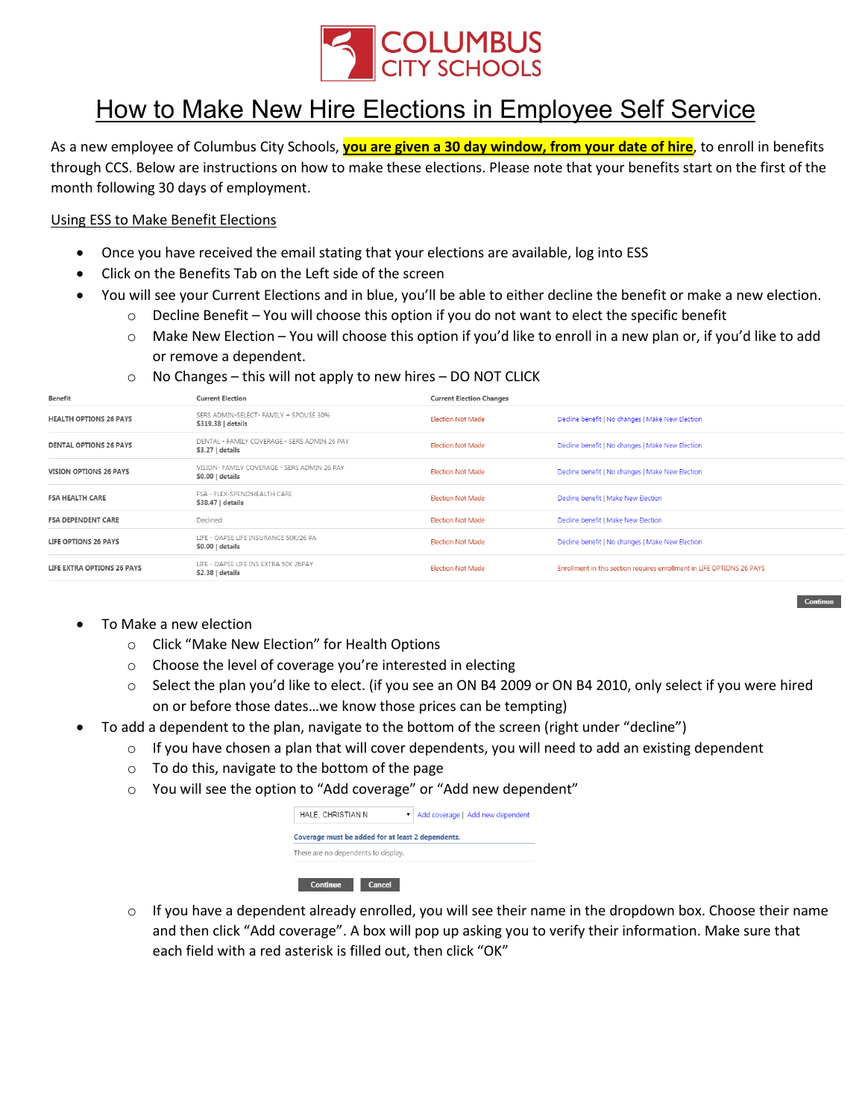

## How to Make New Hire Elections in Employee Self Service

As a new employee of Columbus City Schools, **you are given a 30 day window, from your date of hire**, to enroll in benefits through CCS. Below are instructions on how to make these elections. Please note that your benefits start on the first of the month following 30 days of employment.

## Using ESS to Make Benefit Elections

- Once you have received the email stating that your elections are available, log into ESS
- Click on the Benefits Tab on the Left side of the screen
- You will see your Current Elections and in blue, you'll be able to either decline the benefit or make a new election.
	- $\circ$  Decline Benefit You will choose this option if you do not want to elect the specific benefit
		- o Make New Election You will choose this option if you'd like to enroll in a new plan or, if you'd like to add or remove a dependent.
	- $\circ$  No Changes this will not apply to new hires DO NOT CLICK

| benefit                       | <b>Current Election</b>                                           | Current Election Changes |                                                                        |
|-------------------------------|-------------------------------------------------------------------|--------------------------|------------------------------------------------------------------------|
| <b>HEALTH OPTIONS 26 PAYS</b> | SERS ADMIN-SELECT- FAMILY + SPOUSE 30%<br>\$319.38   details      | <b>Election Not Made</b> | Decline benefit   No changes   Make New Election                       |
| <b>DENTAL OPTIONS 26 PAYS</b> | DENTAL - FAMILY COVERAGE - SERS ADMIN 26 PAY<br>$$3.27$   details | <b>Election Not Made</b> | Decline benefit   No changes   Make New Election                       |
| <b>VISION OPTIONS 26 PAYS</b> | VISION- FAMILY COVERAGE - SERS ADMIN 26 PAY<br>$$0.00$   details  | <b>Election Not Made</b> | Decline benefit   No changes   Make New Election                       |
| <b>FSA HEALTH CARE</b>        | FSA - FLEX-SPEND:HEALTH CARE<br>\$38.47   details                 | <b>Election Not Made</b> | Decline benefit   Make New Election                                    |
| <b>FSA DEPENDENT CARE</b>     | Declined                                                          | <b>Election Not Made</b> | Decline benefit   Make New Election                                    |
| LIFE OPTIONS 26 PAYS          | LIFE - OAPSE LIFE INSURANCE 50K/26 PA<br>\$0.00   details         | Election Not Made        | Decline benefit   No changes   Make New Election                       |
| LIFE EXTRA OPTIONS 26 PAYS    | LIFE - OAPSE LIFE INS EXTRA 50K 26PAY<br>$$2.38$   details        | <b>Election Not Made</b> | Enrollment in this section requires enrollment in LIFE OPTIONS 26 PAYS |

- To Make a new election
	- o Click "Make New Election" for Health Options
	- o Choose the level of coverage you're interested in electing
	- o Select the plan you'd like to elect. (if you see an ON B4 2009 or ON B4 2010, only select if you were hired on or before those dates…we know those prices can be tempting)

Contin

- To add a dependent to the plan, navigate to the bottom of the screen (right under "decline")
	- $\circ$  If you have chosen a plan that will cover dependents, you will need to add an existing dependent
	- o To do this, navigate to the bottom of the page
	- o You will see the option to "Add coverage" or "Add new dependent"

| HALE. CHRISTIAN N                                 | ▼ | Add coverage   Add new dependent |  |  |
|---------------------------------------------------|---|----------------------------------|--|--|
| Coverage must be added for at least 2 dependents. |   |                                  |  |  |
| There are no dependents to display.               |   |                                  |  |  |
|                                                   |   |                                  |  |  |
| Continue<br>Cancel                                |   |                                  |  |  |

 $\circ$  If you have a dependent already enrolled, you will see their name in the dropdown box. Choose their name and then click "Add coverage". A box will pop up asking you to verify their information. Make sure that each field with a red asterisk is filled out, then click "OK"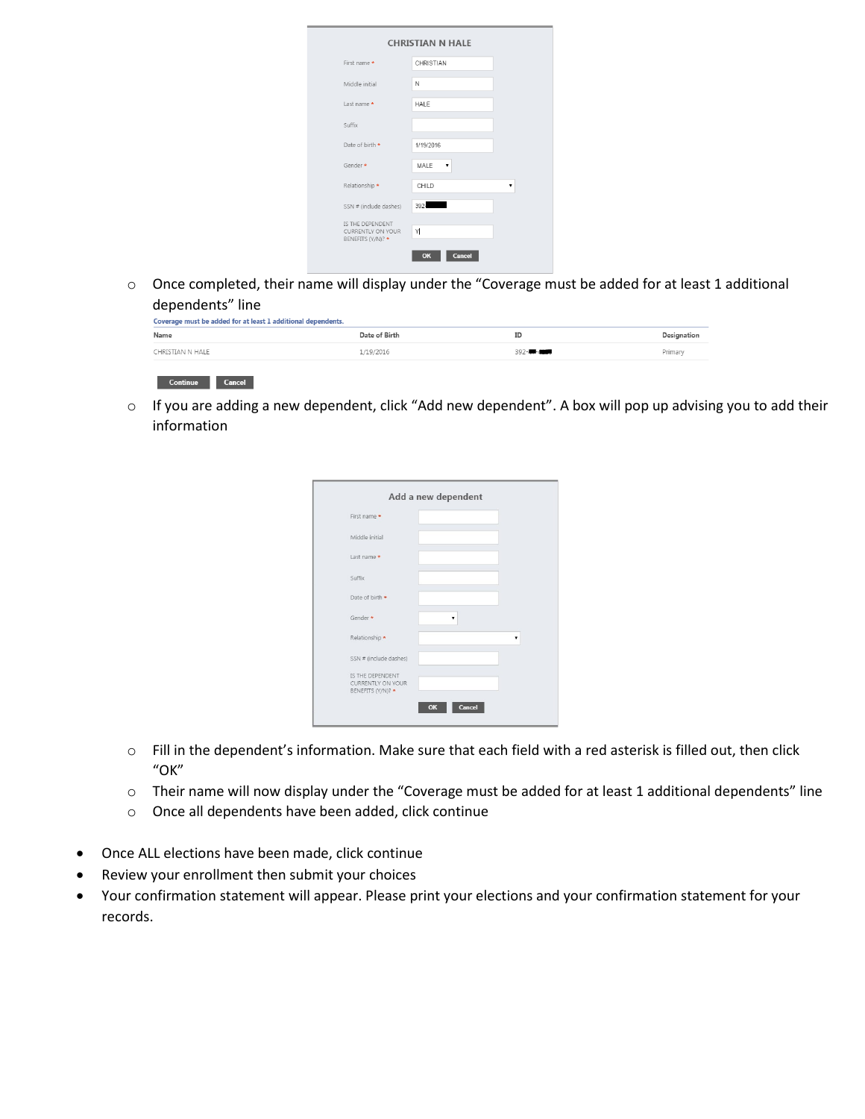| First name *                                               | CHRISTIAN    |
|------------------------------------------------------------|--------------|
| Middle initial                                             | N            |
| Last name *                                                | HALE         |
| Suffix                                                     |              |
| Date of birth *                                            | 1/19/2016    |
| Gender *                                                   | MALE<br>,    |
| Relationship *                                             | CHILD        |
| SSN # (include dashes)                                     | 392-         |
| IS THE DEPENDENT<br>CURRENTLY ON YOUR<br>BENEFITS (Y/N)? * | Y            |
|                                                            | Cancel<br>OK |

o Once completed, their name will display under the "Coverage must be added for at least 1 additional dependents" line

| Name             | Date of Birth | ID      | Designation |
|------------------|---------------|---------|-------------|
|                  | 1/19/2016     | 392-4-4 | Primary     |
| CHRISTIAN N HALE |               |         |             |

o If you are adding a new dependent, click "Add new dependent". A box will pop up advising you to add their information

| First name *                                                      |  |  |
|-------------------------------------------------------------------|--|--|
| Middle initial                                                    |  |  |
| Last name *                                                       |  |  |
| Suffix                                                            |  |  |
| Date of birth *                                                   |  |  |
| Gender *                                                          |  |  |
| Relationship *                                                    |  |  |
| SSN # (include dashes)                                            |  |  |
| IS THE DEPENDENT<br><b>CURRENTLY ON YOUR</b><br>BENEFITS (Y/N)? * |  |  |

- o Fill in the dependent's information. Make sure that each field with a red asterisk is filled out, then click "OK"
- o Their name will now display under the "Coverage must be added for at least 1 additional dependents" line
- o Once all dependents have been added, click continue
- Once ALL elections have been made, click continue
- Review your enrollment then submit your choices
- Your confirmation statement will appear. Please print your elections and your confirmation statement for your records.